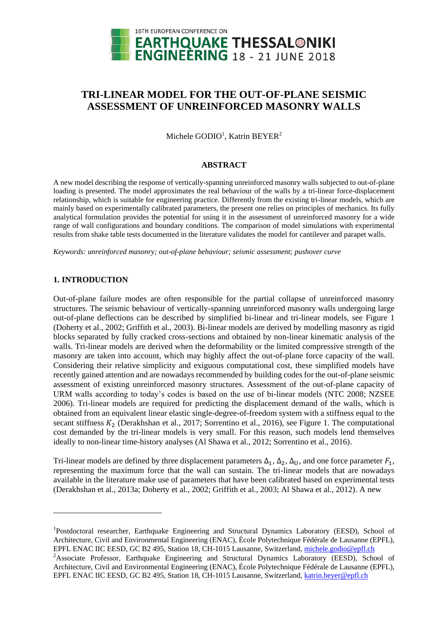

# **TRI-LINEAR MODEL FOR THE OUT-OF-PLANE SEISMIC ASSESSMENT OF UNREINFORCED MASONRY WALLS**

Michele GODIO<sup>1</sup>, Katrin BEYER<sup>2</sup>

#### **ABSTRACT**

A new model describing the response of vertically-spanning unreinforced masonry walls subjected to out-of-plane loading is presented. The model approximates the real behaviour of the walls by a tri-linear force-displacement relationship, which is suitable for engineering practice. Differently from the existing tri-linear models, which are mainly based on experimentally calibrated parameters, the present one relies on principles of mechanics. Its fully analytical formulation provides the potential for using it in the assessment of unreinforced masonry for a wide range of wall configurations and boundary conditions. The comparison of model simulations with experimental results from shake table tests documented in the literature validates the model for cantilever and parapet walls.

*Keywords: unreinforced masonry; out-of-plane behaviour; seismic assessment; pushover curve*

# **1. INTRODUCTION**

1

Out-of-plane failure modes are often responsible for the partial collapse of unreinforced masonry structures. The seismic behaviour of vertically-spanning unreinforced masonry walls undergoing large out-of-plane deflections can be described by simplified bi-linear and tri-linear models, see [Figure 1](#page-1-0) (Doherty et al., 2002; Griffith et al., 2003). Bi-linear models are derived by modelling masonry as rigid blocks separated by fully cracked cross-sections and obtained by non-linear kinematic analysis of the walls. Tri-linear models are derived when the deformability or the limited compressive strength of the masonry are taken into account, which may highly affect the out-of-plane force capacity of the wall. Considering their relative simplicity and exiguous computational cost, these simplified models have recently gained attention and are nowadays recommended by building codes for the out-of-plane seismic assessment of existing unreinforced masonry structures. Assessment of the out-of-plane capacity of URM walls according to today's codes is based on the use of bi-linear models (NTC 2008; NZSEE 2006). Tri-linear models are required for predicting the displacement demand of the walls, which is obtained from an equivalent linear elastic single-degree-of-freedom system with a stiffness equal to the secant stiffness  $K_2$  (Derakhshan et al., 2017; Sorrentino et al., 2016), see [Figure 1.](#page-1-0) The computational cost demanded by the tri-linear models is very small. For this reason, such models lend themselves ideally to non-linear time-history analyses (Al Shawa et al., 2012; Sorrentino et al., 2016).

Tri-linear models are defined by three displacement parameters  $\Delta_1$ ,  $\Delta_2$ ,  $\Delta_{\text{U}}$ , and one force parameter  $F_1$ , representing the maximum force that the wall can sustain. The tri-linear models that are nowadays available in the literature make use of parameters that have been calibrated based on experimental tests (Derakhshan et al., 2013a; Doherty et al., 2002; Griffith et al., 2003; Al Shawa et al., 2012). A new

<sup>&</sup>lt;sup>1</sup>Postdoctoral researcher, Earthquake Engineering and Structural Dynamics Laboratory (EESD), School of Architecture, Civil and Environmental Engineering (ENAC), École Polytechnique Fédérale de Lausanne (EPFL), EPFL ENAC IIC EESD, GC B2 495, Station 18, CH-1015 Lausanne, Switzerland, [michele.godio@epfl.ch](mailto:michele.godio@epfl.ch)

<sup>&</sup>lt;sup>2</sup>Associate Professor, Earthquake Engineering and Structural Dynamics Laboratory (EESD), School of Architecture, Civil and Environmental Engineering (ENAC), École Polytechnique Fédérale de Lausanne (EPFL), EPFL ENAC IIC EESD, GC B2 495, Station 18, CH-1015 Lausanne, Switzerland, [katrin.beyer@epfl.ch](mailto:katrin.beyer@epfl.ch)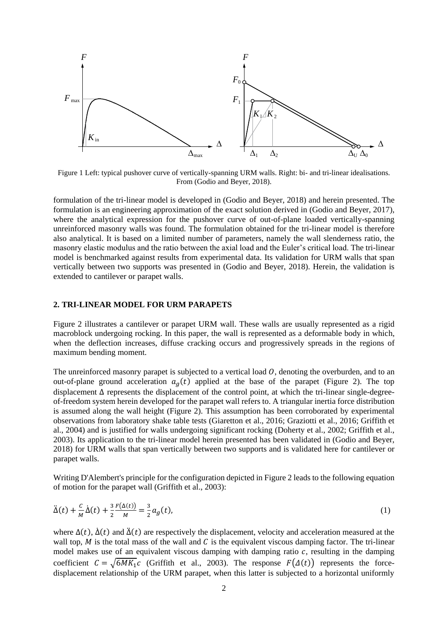

<span id="page-1-0"></span>Figure 1 Left: typical pushover curve of vertically-spanning URM walls. Right: bi- and tri-linear idealisations. From (Godio and Beyer, 2018).

formulation of the tri-linear model is developed in (Godio and Beyer, 2018) and herein presented. The formulation is an engineering approximation of the exact solution derived in (Godio and Beyer, 2017), where the analytical expression for the pushover curve of out-of-plane loaded vertically-spanning unreinforced masonry walls was found. The formulation obtained for the tri-linear model is therefore also analytical. It is based on a limited number of parameters, namely the wall slenderness ratio, the masonry elastic modulus and the ratio between the axial load and the Euler's critical load. The tri-linear model is benchmarked against results from experimental data. Its validation for URM walls that span vertically between two supports was presented in (Godio and Beyer, 2018). Herein, the validation is extended to cantilever or parapet walls.

# **2. TRI-LINEAR MODEL FOR URM PARAPETS**

[Figure 2](#page-2-0) illustrates a cantilever or parapet URM wall. These walls are usually represented as a rigid macroblock undergoing rocking. In this paper, the wall is represented as a deformable body in which, when the deflection increases, diffuse cracking occurs and progressively spreads in the regions of maximum bending moment.

The unreinforced masonry parapet is subjected to a vertical load  $O$ , denoting the overburden, and to an out-of-plane ground acceleration  $a_g(t)$  applied at the base of the parapet [\(Figure 2\)](#page-2-0). The top displacement Δ represents the displacement of the control point, at which the tri-linear single-degreeof-freedom system herein developed for the parapet wall refers to. A triangular inertia force distribution is assumed along the wall height [\(Figure 2\)](#page-2-0). This assumption has been corroborated by experimental observations from laboratory shake table tests (Giaretton et al., 2016; Graziotti et al., 2016; Griffith et al., 2004) and is justified for walls undergoing significant rocking (Doherty et al., 2002; Griffith et al., 2003). Its application to the tri-linear model herein presented has been validated in (Godio and Beyer, 2018) for URM walls that span vertically between two supports and is validated here for cantilever or parapet walls.

Writing D'Alembert's principle for the configuration depicted i[n Figure 2](#page-2-0) leads to the following equation of motion for the parapet wall (Griffith et al., 2003):

$$
\ddot{\Delta}(t) + \frac{c}{M}\dot{\Delta}(t) + \frac{3}{2}\frac{F(\Delta(t))}{M} = \frac{3}{2}a_g(t),\tag{1}
$$

where  $\Delta(t)$ ,  $\dot{\Delta}(t)$  and  $\ddot{\Delta}(t)$  are respectively the displacement, velocity and acceleration measured at the wall top,  $M$  is the total mass of the wall and  $C$  is the equivalent viscous damping factor. The tri-linear model makes use of an equivalent viscous damping with damping ratio  $c$ , resulting in the damping coefficient  $C = \sqrt{6MK_1c}$  (Griffith et al., 2003). The response  $F(\Delta(t))$  represents the forcedisplacement relationship of the URM parapet, when this latter is subjected to a horizontal uniformly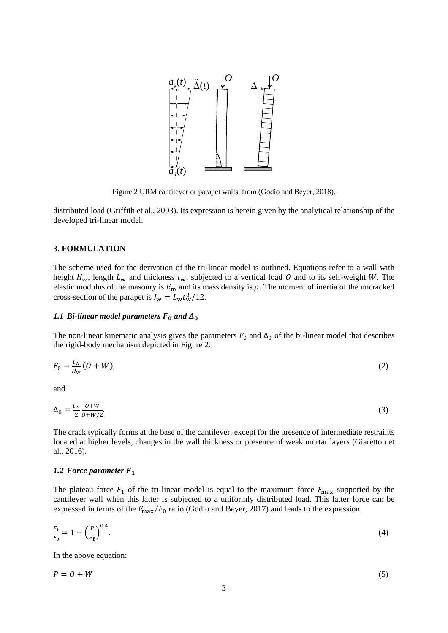

Figure 2 URM cantilever or parapet walls, from (Godio and Beyer, 2018).

<span id="page-2-0"></span>distributed load (Griffith et al., 2003). Its expression is herein given by the analytical relationship of the developed tri-linear model.

#### **3. FORMULATION**

The scheme used for the derivation of the tri-linear model is outlined. Equations refer to a wall with height  $H_w$ , length  $L_w$  and thickness  $t_w$ , subjected to a vertical load O and to its self-weight W. The elastic modulus of the masonry is  $E_m$  and its mass density is  $\rho$ . The moment of inertia of the uncracked cross-section of the parapet is  $I_w = L_w t_w^3 / 12$ .

# 1.1 *Bi-linear model parameters*  $F_0$  *and*  $\Delta_0$

The non-linear kinematic analysis gives the parameters  $F_0$  and  $\Delta_0$  of the bi-linear model that describes the rigid-body mechanism depicted in [Figure 2:](#page-2-0)

$$
F_0 = \frac{t_w}{H_w} (0 + W),\tag{2}
$$

and

$$
\Delta_0 = \frac{t_w}{2} \frac{\partial + W}{\partial + W/2}.\tag{3}
$$

The crack typically forms at the base of the cantilever, except for the presence of intermediate restraints located at higher levels, changes in the wall thickness or presence of weak mortar layers (Giaretton et al., 2016).

#### *1.2 Force parameter*

The plateau force  $F_1$  of the tri-linear model is equal to the maximum force  $F_{\text{max}}$  supported by the cantilever wall when this latter is subjected to a uniformly distributed load. This latter force can be expressed in terms of the  $F_{\text{max}}/F_0$  ratio (Godio and Beyer, 2017) and leads to the expression:

$$
\frac{F_1}{F_0} = 1 - \left(\frac{P}{P_{\rm E}}\right)^{0.4}.\tag{4}
$$

In the above equation:

$$
P = O + W \tag{5}
$$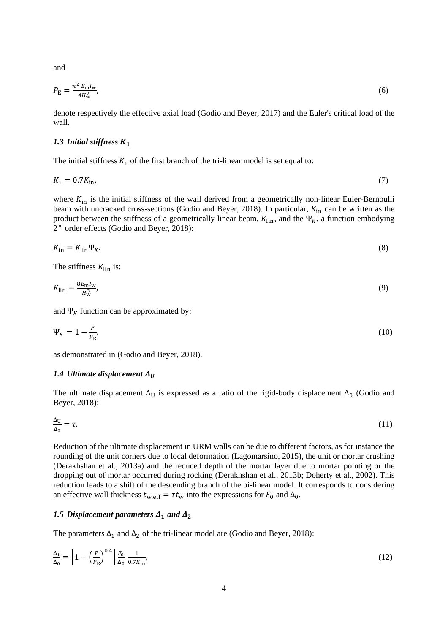and

$$
P_{\rm E} = \frac{\pi^2 E_{\rm m} I_{\rm w}}{4H_{\rm w}^2},\tag{6}
$$

denote respectively the effective axial load (Godio and Beyer, 2017) and the Euler's critical load of the wall.

#### *1.3 Initial stiffness*

The initial stiffness  $K_1$  of the first branch of the tri-linear model is set equal to:

$$
K_1 = 0.7K_{\rm in},\tag{7}
$$

where  $K_{\text{in}}$  is the initial stiffness of the wall derived from a geometrically non-linear Euler-Bernoulli beam with uncracked cross-sections (Godio and Beyer, 2018). In particular,  $K_{\text{in}}$  can be written as the product between the stiffness of a geometrically linear beam,  $K_{lin}$ , and the  $\Psi_K$ , a function embodying 2<sup>nd</sup> order effects (Godio and Beyer, 2018):

$$
K_{\rm in} = K_{\rm lin} \Psi_K. \tag{8}
$$

The stiffness  $K_{lin}$  is:

$$
K_{\rm lin} = \frac{8E_{\rm m}I_{\rm w}}{H_{\rm w}^3},\tag{9}
$$

and  $\Psi_K$  function can be approximated by:

$$
\Psi_{K} = 1 - \frac{P}{P_{E}},\tag{10}
$$

as demonstrated in (Godio and Beyer, 2018).

#### *1.4 Ultimate displacement*

The ultimate displacement  $\Delta_U$  is expressed as a ratio of the rigid-body displacement  $\Delta_0$  (Godio and Beyer, 2018):

$$
\frac{\Delta_{\mathbf{U}}}{\Delta_{\mathbf{0}}} = \tau. \tag{11}
$$

Reduction of the ultimate displacement in URM walls can be due to different factors, as for instance the rounding of the unit corners due to local deformation (Lagomarsino, 2015), the unit or mortar crushing (Derakhshan et al., 2013a) and the reduced depth of the mortar layer due to mortar pointing or the dropping out of mortar occurred during rocking (Derakhshan et al., 2013b; Doherty et al., 2002). This reduction leads to a shift of the descending branch of the bi-linear model. It corresponds to considering an effective wall thickness  $t_{w,eff} = \tau t_w$  into the expressions for  $F_0$  and  $\Delta_0$ .

#### 1.5 Displacement parameters  $\Delta_1$  and  $\Delta_2$

The parameters  $\Delta_1$  and  $\Delta_2$  of the tri-linear model are (Godio and Beyer, 2018):

$$
\frac{\Delta_1}{\Delta_0} = \left[1 - \left(\frac{P}{P_{\rm E}}\right)^{0.4}\right] \frac{F_0}{\Delta_0} \frac{1}{0.7K_{\rm in}},\tag{12}
$$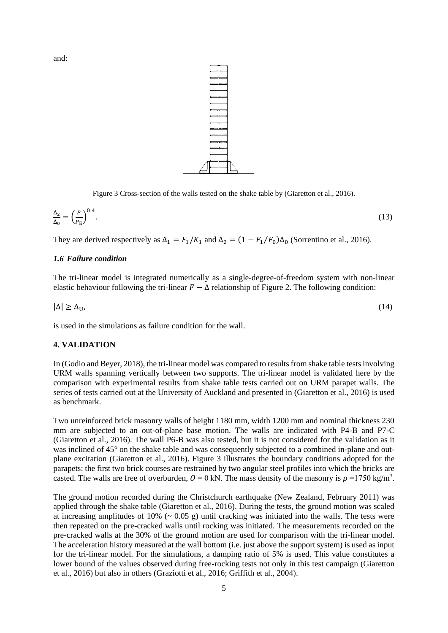and:



Figure 3 Cross-section of the walls tested on the shake table by (Giaretton et al., 2016).

<span id="page-4-0"></span>
$$
\frac{\Delta_2}{\Delta_0} = \left(\frac{P}{P_E}\right)^{0.4}.\tag{13}
$$

They are derived respectively as  $\Delta_1 = F_1/K_1$  and  $\Delta_2 = (1 - F_1/F_0)\Delta_0$  (Sorrentino et al., 2016).

#### *1.6 Failure condition*

The tri-linear model is integrated numerically as a single-degree-of-freedom system with non-linear elastic behaviour following the tri-linear  $F - \Delta$  relationship of [Figure 2.](#page-2-0) The following condition:

$$
|\Delta| \ge \Delta_{\mathbf{U}},\tag{14}
$$

is used in the simulations as failure condition for the wall.

#### **4. VALIDATION**

In (Godio and Beyer, 2018), the tri-linear model was compared to results from shake table tests involving URM walls spanning vertically between two supports. The tri-linear model is validated here by the comparison with experimental results from shake table tests carried out on URM parapet walls. The series of tests carried out at the University of Auckland and presented in (Giaretton et al., 2016) is used as benchmark.

Two unreinforced brick masonry walls of height 1180 mm, width 1200 mm and nominal thickness 230 mm are subjected to an out-of-plane base motion. The walls are indicated with P4-B and P7-C (Giaretton et al., 2016). The wall P6-B was also tested, but it is not considered for the validation as it was inclined of 45° on the shake table and was consequently subjected to a combined in-plane and outplane excitation (Giaretton et al., 2016). [Figure 3](#page-4-0) illustrates the boundary conditions adopted for the parapets: the first two brick courses are restrained by two angular steel profiles into which the bricks are casted. The walls are free of overburden,  $0 = 0$  kN. The mass density of the masonry is  $\rho = 1750$  kg/m<sup>3</sup>.

The ground motion recorded during the Christchurch earthquake (New Zealand, February 2011) was applied through the shake table (Giaretton et al., 2016). During the tests, the ground motion was scaled at increasing amplitudes of 10%  $(-0.05 \text{ g})$  until cracking was initiated into the walls. The tests were then repeated on the pre-cracked walls until rocking was initiated. The measurements recorded on the pre-cracked walls at the 30% of the ground motion are used for comparison with the tri-linear model. The acceleration history measured at the wall bottom (i.e. just above the support system) is used as input for the tri-linear model. For the simulations, a damping ratio of 5% is used. This value constitutes a lower bound of the values observed during free-rocking tests not only in this test campaign (Giaretton et al., 2016) but also in others (Graziotti et al., 2016; Griffith et al., 2004).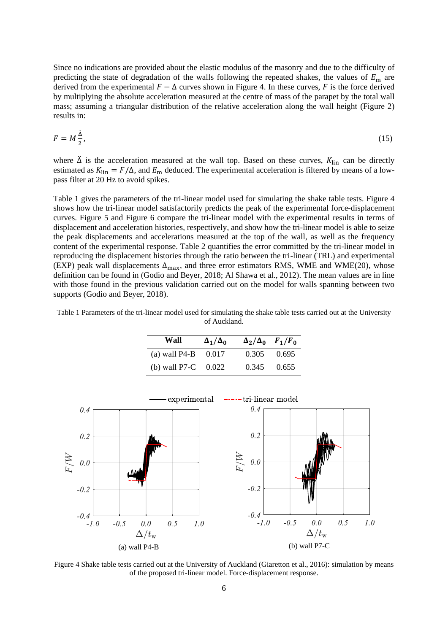Since no indications are provided about the elastic modulus of the masonry and due to the difficulty of predicting the state of degradation of the walls following the repeated shakes, the values of  $E_m$  are derived from the experimental  $F - \Delta$  curves shown in [Figure 4.](#page-5-0) In these curves, F is the force derived by multiplying the absolute acceleration measured at the centre of mass of the parapet by the total wall mass; assuming a triangular distribution of the relative acceleration along the wall height [\(Figure 2\)](#page-2-0) results in:

$$
F = M\frac{\dot{\Delta}}{2},\tag{15}
$$

where  $\ddot{\Delta}$  is the acceleration measured at the wall top. Based on these curves,  $K_{lin}$  can be directly estimated as  $K_{lin} = F/\Delta$ , and  $E_m$  deduced. The experimental acceleration is filtered by means of a lowpass filter at 20 Hz to avoid spikes.

[Table 1](#page-5-1) gives the parameters of the tri-linear model used for simulating the shake table tests. [Figure 4](#page-5-0) shows how the tri-linear model satisfactorily predicts the peak of the experimental force-displacement curves. [Figure 5](#page-6-0) and [Figure 6](#page-6-1) compare the tri-linear model with the experimental results in terms of displacement and acceleration histories, respectively, and show how the tri-linear model is able to seize the peak displacements and accelerations measured at the top of the wall, as well as the frequency content of the experimental response. [Table 2](#page-7-0) quantifies the error committed by the tri-linear model in reproducing the displacement histories through the ratio between the tri-linear (TRL) and experimental (EXP) peak wall displacements  $\Delta_{\text{max}}$ , and three error estimators RMS, WME and WME(20), whose definition can be found in (Godio and Beyer, 2018; Al Shawa et al., 2012). The mean values are in line with those found in the previous validation carried out on the model for walls spanning between two supports (Godio and Beyer, 2018).

<span id="page-5-1"></span>Table 1 Parameters of the tri-linear model used for simulating the shake table tests carried out at the University of Auckland.

| Wall                  | $\Delta_1/\Delta_0$ | $\Delta_2/\Delta_0$ $F_1/F_0$ |       |
|-----------------------|---------------------|-------------------------------|-------|
| (a) wall P4-B $0.017$ |                     | $0.305$ $0.695$               |       |
| (b) wall P7-C $0.022$ |                     | 0.345                         | 0.655 |



<span id="page-5-0"></span>Figure 4 Shake table tests carried out at the University of Auckland (Giaretton et al., 2016): simulation by means of the proposed tri-linear model. Force-displacement response.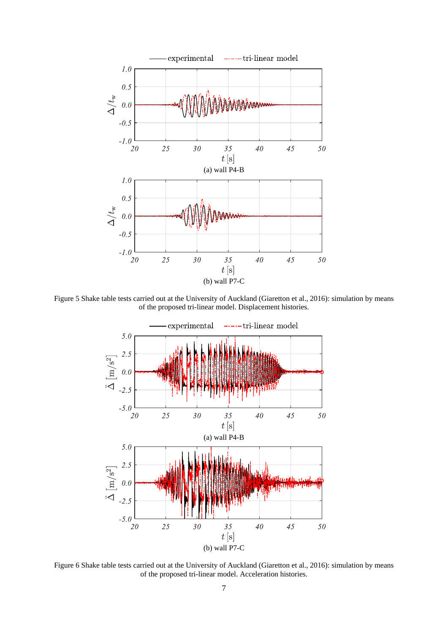

<span id="page-6-0"></span>Figure 5 Shake table tests carried out at the University of Auckland (Giaretton et al., 2016): simulation by means of the proposed tri-linear model. Displacement histories.



<span id="page-6-1"></span>Figure 6 Shake table tests carried out at the University of Auckland (Giaretton et al., 2016): simulation by means of the proposed tri-linear model. Acceleration histories.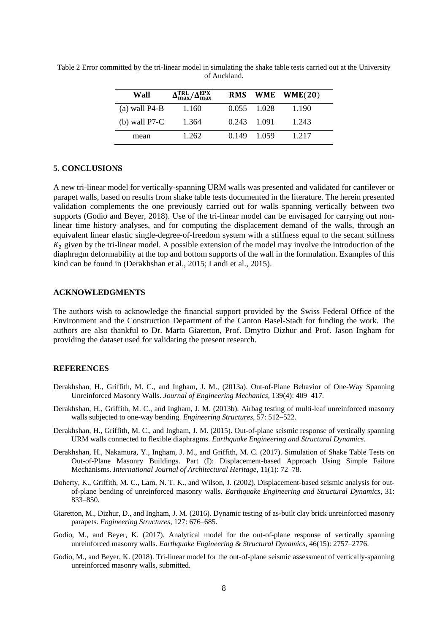| Wall            | $\Delta_{\rm max}^{\rm TRL}/\Delta_{\rm max}^{\rm EPX}$ |             | RMS WME WME $(20)$ |  |
|-----------------|---------------------------------------------------------|-------------|--------------------|--|
| (a) wall $P4-B$ | 1.160                                                   | 0.055 1.028 | 1.190              |  |
| (b) wall $P7-C$ | 1.364                                                   | 0.243 1.091 | 1.243              |  |
| mean            | 1.262                                                   | 0.149 1.059 | 1.217              |  |

<span id="page-7-0"></span>Table 2 Error committed by the tri-linear model in simulating the shake table tests carried out at the University of Auckland.

#### **5. CONCLUSIONS**

A new tri-linear model for vertically-spanning URM walls was presented and validated for cantilever or parapet walls, based on results from shake table tests documented in the literature. The herein presented validation complements the one previously carried out for walls spanning vertically between two supports (Godio and Beyer, 2018). Use of the tri-linear model can be envisaged for carrying out nonlinear time history analyses, and for computing the displacement demand of the walls, through an equivalent linear elastic single-degree-of-freedom system with a stiffness equal to the secant stiffness  $K_2$  given by the tri-linear model. A possible extension of the model may involve the introduction of the diaphragm deformability at the top and bottom supports of the wall in the formulation. Examples of this kind can be found in (Derakhshan et al., 2015; Landi et al., 2015).

# **ACKNOWLEDGMENTS**

The authors wish to acknowledge the financial support provided by the Swiss Federal Office of the Environment and the Construction Department of the Canton Basel-Stadt for funding the work. The authors are also thankful to Dr. Marta Giaretton, Prof. Dmytro Dizhur and Prof. Jason Ingham for providing the dataset used for validating the present research.

# **REFERENCES**

- Derakhshan, H., Griffith, M. C., and Ingham, J. M., (2013a). Out-of-Plane Behavior of One-Way Spanning Unreinforced Masonry Walls. *Journal of Engineering Mechanics*, 139(4): 409–417.
- Derakhshan, H., Griffith, M. C., and Ingham, J. M. (2013b). Airbag testing of multi-leaf unreinforced masonry walls subjected to one-way bending. *Engineering Structures*, 57: 512–522.
- Derakhshan, H., Griffith, M. C., and Ingham, J. M. (2015). Out-of-plane seismic response of vertically spanning URM walls connected to flexible diaphragms. *Earthquake Engineering and Structural Dynamics*.
- Derakhshan, H., Nakamura, Y., Ingham, J. M., and Griffith, M. C. (2017). Simulation of Shake Table Tests on Out-of-Plane Masonry Buildings. Part (I): Displacement-based Approach Using Simple Failure Mechanisms. *International Journal of Architectural Heritage*, 11(1): 72–78.
- Doherty, K., Griffith, M. C., Lam, N. T. K., and Wilson, J. (2002). Displacement-based seismic analysis for outof-plane bending of unreinforced masonry walls. *Earthquake Engineering and Structural Dynamics*, 31: 833–850.
- Giaretton, M., Dizhur, D., and Ingham, J. M. (2016). Dynamic testing of as-built clay brick unreinforced masonry parapets. *Engineering Structures*, 127: 676–685.
- Godio, M., and Beyer, K. (2017). Analytical model for the out-of-plane response of vertically spanning unreinforced masonry walls. *Earthquake Engineering & Structural Dynamics*, 46(15): 2757–2776.
- Godio, M., and Beyer, K. (2018). Tri-linear model for the out-of-plane seismic assessment of vertically-spanning unreinforced masonry walls, submitted.